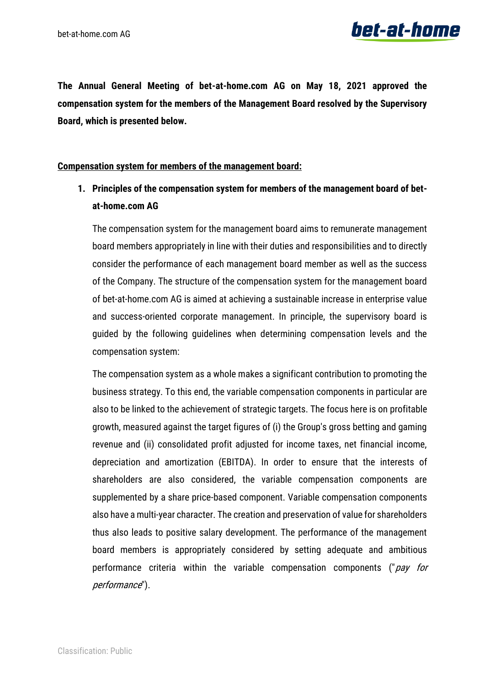

**The Annual General Meeting of bet-at-home.com AG on May 18, 2021 approved the compensation system for the members of the Management Board resolved by the Supervisory Board, which is presented below.**

#### **Compensation system for members of the management board:**

### **1. Principles of the compensation system for members of the management board of betat-home.com AG**

The compensation system for the management board aims to remunerate management board members appropriately in line with their duties and responsibilities and to directly consider the performance of each management board member as well as the success of the Company. The structure of the compensation system for the management board of bet-at-home.com AG is aimed at achieving a sustainable increase in enterprise value and success-oriented corporate management. In principle, the supervisory board is guided by the following guidelines when determining compensation levels and the compensation system:

The compensation system as a whole makes a significant contribution to promoting the business strategy. To this end, the variable compensation components in particular are also to be linked to the achievement of strategic targets. The focus here is on profitable growth, measured against the target figures of (i) the Group's gross betting and gaming revenue and (ii) consolidated profit adjusted for income taxes, net financial income, depreciation and amortization (EBITDA). In order to ensure that the interests of shareholders are also considered, the variable compensation components are supplemented by a share price-based component. Variable compensation components also have a multi-year character. The creation and preservation of value for shareholders thus also leads to positive salary development. The performance of the management board members is appropriately considered by setting adequate and ambitious performance criteria within the variable compensation components ("pay for performance").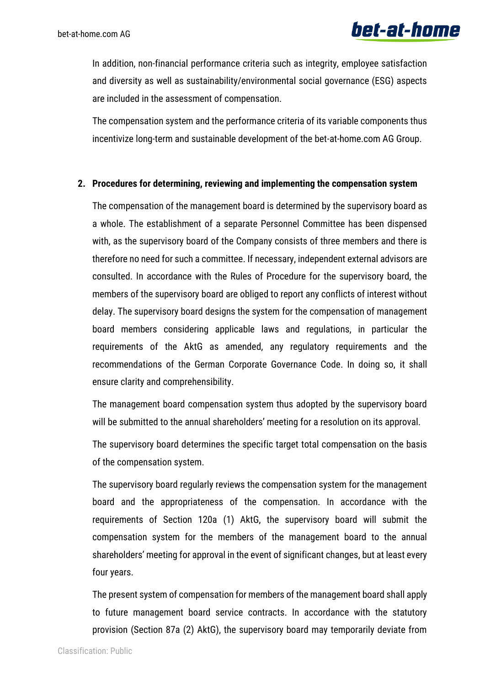In addition, non-financial performance criteria such as integrity, employee satisfaction and diversity as well as sustainability/environmental social governance (ESG) aspects are included in the assessment of compensation.

The compensation system and the performance criteria of its variable components thus incentivize long-term and sustainable development of the bet-at-home.com AG Group.

#### **2. Procedures for determining, reviewing and implementing the compensation system**

The compensation of the management board is determined by the supervisory board as a whole. The establishment of a separate Personnel Committee has been dispensed with, as the supervisory board of the Company consists of three members and there is therefore no need for such a committee. If necessary, independent external advisors are consulted. In accordance with the Rules of Procedure for the supervisory board, the members of the supervisory board are obliged to report any conflicts of interest without delay. The supervisory board designs the system for the compensation of management board members considering applicable laws and regulations, in particular the requirements of the AktG as amended, any regulatory requirements and the recommendations of the German Corporate Governance Code. In doing so, it shall ensure clarity and comprehensibility.

The management board compensation system thus adopted by the supervisory board will be submitted to the annual shareholders' meeting for a resolution on its approval.

The supervisory board determines the specific target total compensation on the basis of the compensation system.

The supervisory board regularly reviews the compensation system for the management board and the appropriateness of the compensation. In accordance with the requirements of Section 120a (1) AktG, the supervisory board will submit the compensation system for the members of the management board to the annual shareholders' meeting for approval in the event of significant changes, but at least every four years.

The present system of compensation for members of the management board shall apply to future management board service contracts. In accordance with the statutory provision (Section 87a (2) AktG), the supervisory board may temporarily deviate from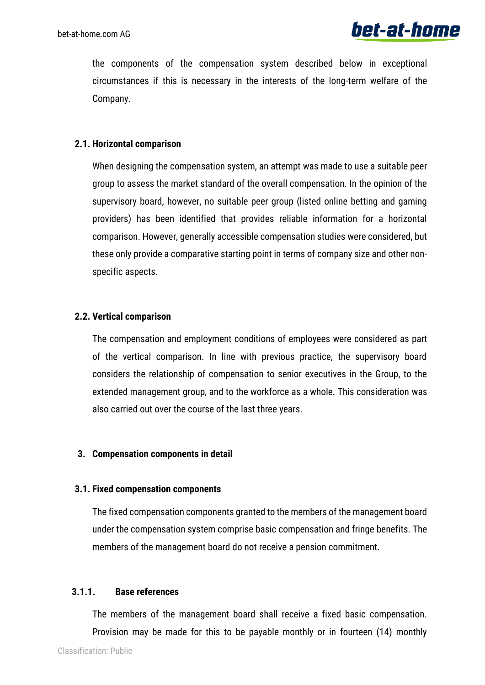the components of the compensation system described below in exceptional circumstances if this is necessary in the interests of the long-term welfare of the Company.

#### **2.1. Horizontal comparison**

When designing the compensation system, an attempt was made to use a suitable peer group to assess the market standard of the overall compensation. In the opinion of the supervisory board, however, no suitable peer group (listed online betting and gaming providers) has been identified that provides reliable information for a horizontal comparison. However, generally accessible compensation studies were considered, but these only provide a comparative starting point in terms of company size and other nonspecific aspects.

#### **2.2. Vertical comparison**

The compensation and employment conditions of employees were considered as part of the vertical comparison. In line with previous practice, the supervisory board considers the relationship of compensation to senior executives in the Group, to the extended management group, and to the workforce as a whole. This consideration was also carried out over the course of the last three years.

#### **3. Compensation components in detail**

#### **3.1. Fixed compensation components**

The fixed compensation components granted to the members of the management board under the compensation system comprise basic compensation and fringe benefits. The members of the management board do not receive a pension commitment.

#### **3.1.1. Base references**

The members of the management board shall receive a fixed basic compensation. Provision may be made for this to be payable monthly or in fourteen (14) monthly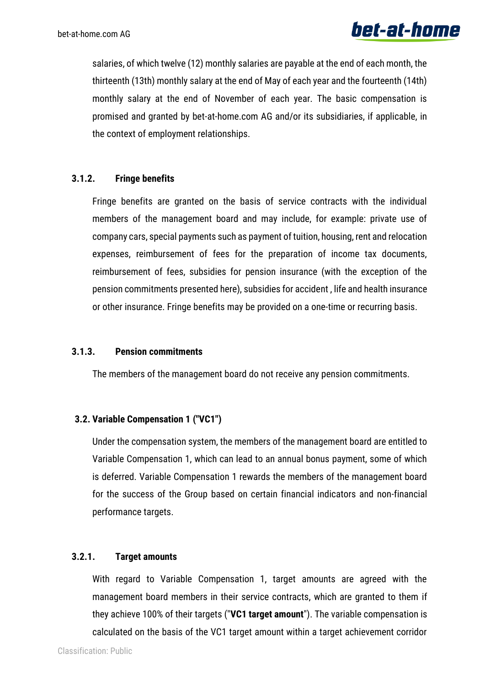salaries, of which twelve (12) monthly salaries are payable at the end of each month, the thirteenth (13th) monthly salary at the end of May of each year and the fourteenth (14th) monthly salary at the end of November of each year. The basic compensation is promised and granted by bet-at-home.com AG and/or its subsidiaries, if applicable, in the context of employment relationships.

#### **3.1.2. Fringe benefits**

Fringe benefits are granted on the basis of service contracts with the individual members of the management board and may include, for example: private use of company cars, special payments such as payment of tuition, housing, rent and relocation expenses, reimbursement of fees for the preparation of income tax documents, reimbursement of fees, subsidies for pension insurance (with the exception of the pension commitments presented here), subsidies for accident , life and health insurance or other insurance. Fringe benefits may be provided on a one-time or recurring basis.

#### **3.1.3. Pension commitments**

The members of the management board do not receive any pension commitments.

#### **3.2. Variable Compensation 1 ("VC1")**

Under the compensation system, the members of the management board are entitled to Variable Compensation 1, which can lead to an annual bonus payment, some of which is deferred. Variable Compensation 1 rewards the members of the management board for the success of the Group based on certain financial indicators and non-financial performance targets.

#### **3.2.1. Target amounts**

With regard to Variable Compensation 1, target amounts are agreed with the management board members in their service contracts, which are granted to them if they achieve 100% of their targets ("**VC1 target amount**"). The variable compensation is calculated on the basis of the VC1 target amount within a target achievement corridor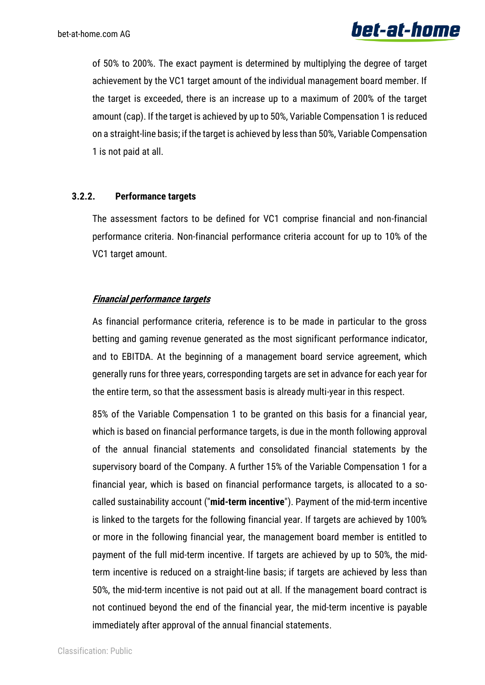of 50% to 200%. The exact payment is determined by multiplying the degree of target achievement by the VC1 target amount of the individual management board member. If the target is exceeded, there is an increase up to a maximum of 200% of the target amount (cap). If the target is achieved by up to 50%, Variable Compensation 1 is reduced on a straight-line basis; if the target is achieved by less than 50%, Variable Compensation 1 is not paid at all.

#### **3.2.2. Performance targets**

The assessment factors to be defined for VC1 comprise financial and non-financial performance criteria. Non-financial performance criteria account for up to 10% of the VC1 target amount.

#### **Financial performance targets**

As financial performance criteria, reference is to be made in particular to the gross betting and gaming revenue generated as the most significant performance indicator, and to EBITDA. At the beginning of a management board service agreement, which generally runs for three years, corresponding targets are set in advance for each year for the entire term, so that the assessment basis is already multi-year in this respect.

85% of the Variable Compensation 1 to be granted on this basis for a financial year, which is based on financial performance targets, is due in the month following approval of the annual financial statements and consolidated financial statements by the supervisory board of the Company. A further 15% of the Variable Compensation 1 for a financial year, which is based on financial performance targets, is allocated to a socalled sustainability account ("**mid-term incentive**"). Payment of the mid-term incentive is linked to the targets for the following financial year. If targets are achieved by 100% or more in the following financial year, the management board member is entitled to payment of the full mid-term incentive. If targets are achieved by up to 50%, the midterm incentive is reduced on a straight-line basis; if targets are achieved by less than 50%, the mid-term incentive is not paid out at all. If the management board contract is not continued beyond the end of the financial year, the mid-term incentive is payable immediately after approval of the annual financial statements.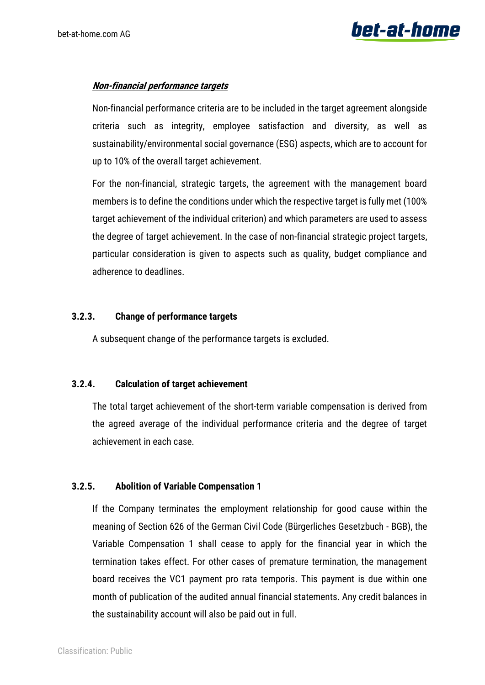#### **Non-financial performance targets**

Non-financial performance criteria are to be included in the target agreement alongside criteria such as integrity, employee satisfaction and diversity, as well as sustainability/environmental social governance (ESG) aspects, which are to account for up to 10% of the overall target achievement.

For the non-financial, strategic targets, the agreement with the management board members is to define the conditions under which the respective target is fully met (100% target achievement of the individual criterion) and which parameters are used to assess the degree of target achievement. In the case of non-financial strategic project targets, particular consideration is given to aspects such as quality, budget compliance and adherence to deadlines.

#### **3.2.3. Change of performance targets**

A subsequent change of the performance targets is excluded.

#### **3.2.4. Calculation of target achievement**

The total target achievement of the short-term variable compensation is derived from the agreed average of the individual performance criteria and the degree of target achievement in each case.

#### **3.2.5. Abolition of Variable Compensation 1**

If the Company terminates the employment relationship for good cause within the meaning of Section 626 of the German Civil Code (Bürgerliches Gesetzbuch - BGB), the Variable Compensation 1 shall cease to apply for the financial year in which the termination takes effect. For other cases of premature termination, the management board receives the VC1 payment pro rata temporis. This payment is due within one month of publication of the audited annual financial statements. Any credit balances in the sustainability account will also be paid out in full.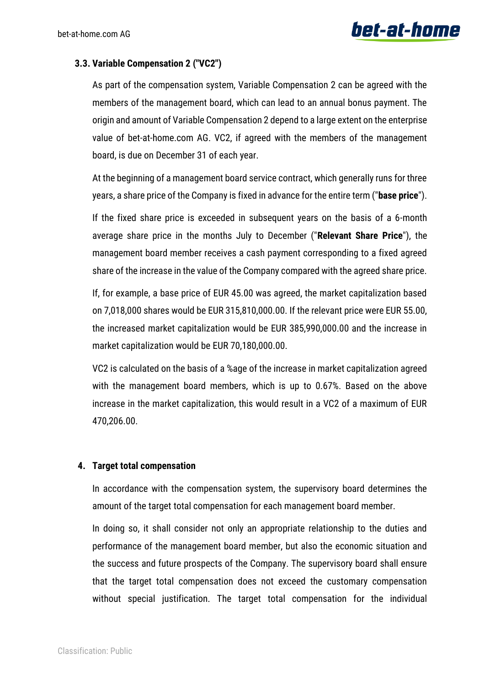#### **3.3. Variable Compensation 2 ("VC2")**

As part of the compensation system, Variable Compensation 2 can be agreed with the members of the management board, which can lead to an annual bonus payment. The origin and amount of Variable Compensation 2 depend to a large extent on the enterprise value of bet-at-home.com AG. VC2, if agreed with the members of the management board, is due on December 31 of each year.

At the beginning of a management board service contract, which generally runs for three years, a share price of the Company is fixed in advance for the entire term ("**base price**").

If the fixed share price is exceeded in subsequent years on the basis of a 6-month average share price in the months July to December ("**Relevant Share Price**"), the management board member receives a cash payment corresponding to a fixed agreed share of the increase in the value of the Company compared with the agreed share price.

If, for example, a base price of EUR 45.00 was agreed, the market capitalization based on 7,018,000 shares would be EUR 315,810,000.00. If the relevant price were EUR 55.00, the increased market capitalization would be EUR 385,990,000.00 and the increase in market capitalization would be EUR 70,180,000.00.

VC2 is calculated on the basis of a %age of the increase in market capitalization agreed with the management board members, which is up to 0.67%. Based on the above increase in the market capitalization, this would result in a VC2 of a maximum of EUR 470,206.00.

#### **4. Target total compensation**

In accordance with the compensation system, the supervisory board determines the amount of the target total compensation for each management board member.

In doing so, it shall consider not only an appropriate relationship to the duties and performance of the management board member, but also the economic situation and the success and future prospects of the Company. The supervisory board shall ensure that the target total compensation does not exceed the customary compensation without special justification. The target total compensation for the individual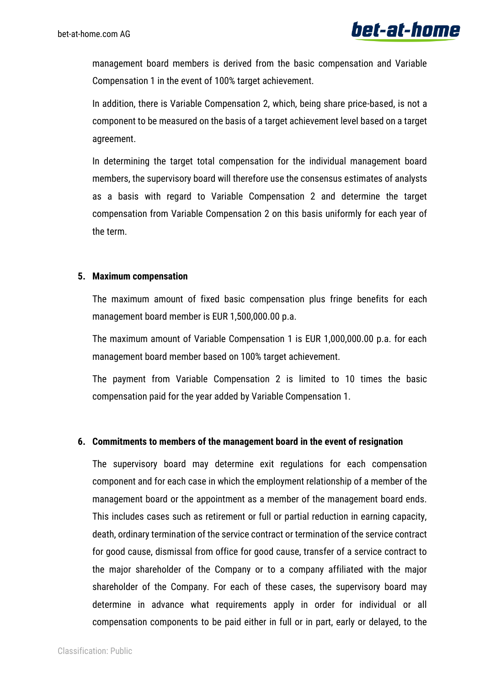management board members is derived from the basic compensation and Variable Compensation 1 in the event of 100% target achievement.

In addition, there is Variable Compensation 2, which, being share price-based, is not a component to be measured on the basis of a target achievement level based on a target agreement.

In determining the target total compensation for the individual management board members, the supervisory board will therefore use the consensus estimates of analysts as a basis with regard to Variable Compensation 2 and determine the target compensation from Variable Compensation 2 on this basis uniformly for each year of the term.

#### **5. Maximum compensation**

The maximum amount of fixed basic compensation plus fringe benefits for each management board member is EUR 1,500,000.00 p.a.

The maximum amount of Variable Compensation 1 is EUR 1,000,000.00 p.a. for each management board member based on 100% target achievement.

The payment from Variable Compensation 2 is limited to 10 times the basic compensation paid for the year added by Variable Compensation 1.

#### **6. Commitments to members of the management board in the event of resignation**

The supervisory board may determine exit regulations for each compensation component and for each case in which the employment relationship of a member of the management board or the appointment as a member of the management board ends. This includes cases such as retirement or full or partial reduction in earning capacity, death, ordinary termination of the service contract or termination of the service contract for good cause, dismissal from office for good cause, transfer of a service contract to the major shareholder of the Company or to a company affiliated with the major shareholder of the Company. For each of these cases, the supervisory board may determine in advance what requirements apply in order for individual or all compensation components to be paid either in full or in part, early or delayed, to the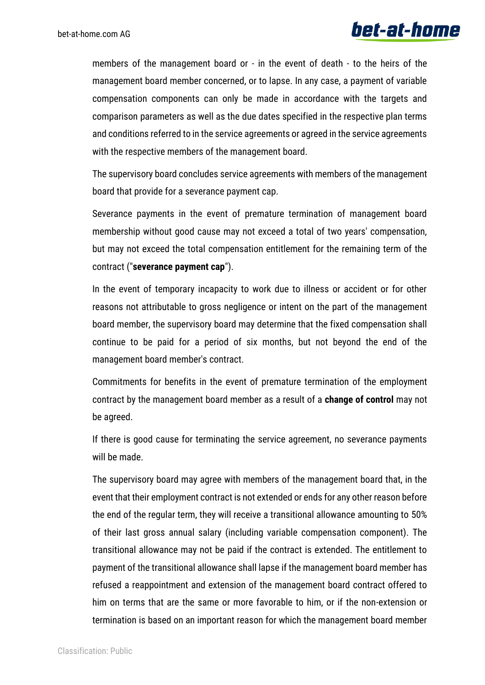members of the management board or - in the event of death - to the heirs of the management board member concerned, or to lapse. In any case, a payment of variable compensation components can only be made in accordance with the targets and comparison parameters as well as the due dates specified in the respective plan terms and conditions referred to in the service agreements or agreed in the service agreements with the respective members of the management board.

The supervisory board concludes service agreements with members of the management board that provide for a severance payment cap.

Severance payments in the event of premature termination of management board membership without good cause may not exceed a total of two years' compensation, but may not exceed the total compensation entitlement for the remaining term of the contract ("**severance payment cap**").

In the event of temporary incapacity to work due to illness or accident or for other reasons not attributable to gross negligence or intent on the part of the management board member, the supervisory board may determine that the fixed compensation shall continue to be paid for a period of six months, but not beyond the end of the management board member's contract.

Commitments for benefits in the event of premature termination of the employment contract by the management board member as a result of a **change of control** may not be agreed.

If there is good cause for terminating the service agreement, no severance payments will be made.

The supervisory board may agree with members of the management board that, in the event that their employment contract is not extended or ends for any other reason before the end of the regular term, they will receive a transitional allowance amounting to 50% of their last gross annual salary (including variable compensation component). The transitional allowance may not be paid if the contract is extended. The entitlement to payment of the transitional allowance shall lapse if the management board member has refused a reappointment and extension of the management board contract offered to him on terms that are the same or more favorable to him, or if the non-extension or termination is based on an important reason for which the management board member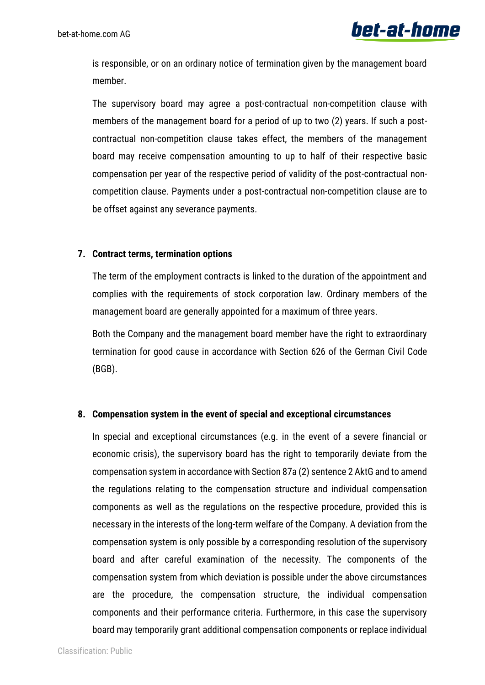

is responsible, or on an ordinary notice of termination given by the management board member.

The supervisory board may agree a post-contractual non-competition clause with members of the management board for a period of up to two (2) years. If such a postcontractual non-competition clause takes effect, the members of the management board may receive compensation amounting to up to half of their respective basic compensation per year of the respective period of validity of the post-contractual noncompetition clause. Payments under a post-contractual non-competition clause are to be offset against any severance payments.

#### **7. Contract terms, termination options**

The term of the employment contracts is linked to the duration of the appointment and complies with the requirements of stock corporation law. Ordinary members of the management board are generally appointed for a maximum of three years.

Both the Company and the management board member have the right to extraordinary termination for good cause in accordance with Section 626 of the German Civil Code (BGB).

#### **8. Compensation system in the event of special and exceptional circumstances**

In special and exceptional circumstances (e.g. in the event of a severe financial or economic crisis), the supervisory board has the right to temporarily deviate from the compensation system in accordance with Section 87a (2) sentence 2 AktG and to amend the regulations relating to the compensation structure and individual compensation components as well as the regulations on the respective procedure, provided this is necessary in the interests of the long-term welfare of the Company. A deviation from the compensation system is only possible by a corresponding resolution of the supervisory board and after careful examination of the necessity. The components of the compensation system from which deviation is possible under the above circumstances are the procedure, the compensation structure, the individual compensation components and their performance criteria. Furthermore, in this case the supervisory board may temporarily grant additional compensation components or replace individual